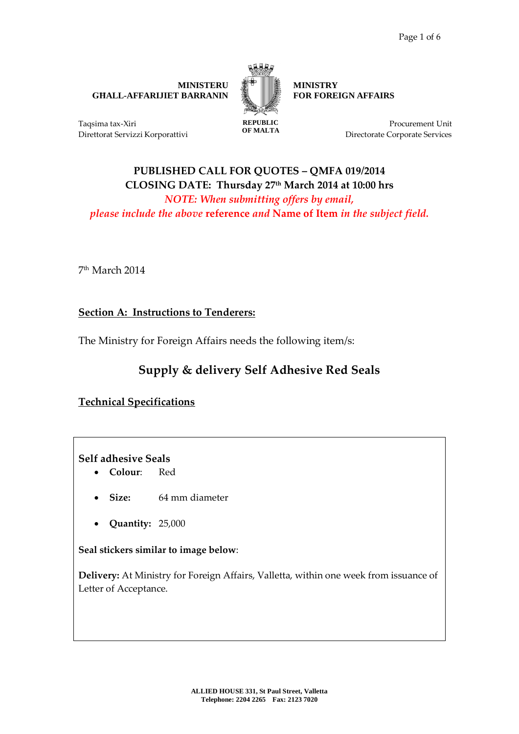**MINISTERU GĦALL-AFFARIJIET BARRANIN** 



**MINISTRY FOR FOREIGN AFFAIRS**

Taqsima tax-Xiri Direttorat Servizzi Korporattivi **REPUBLIC OF MALTA**

Procurement Unit Directorate Corporate Services

## **PUBLISHED CALL FOR QUOTES – QMFA 019/2014 CLOSING DATE: Thursday 27th March 2014 at 10:00 hrs** *NOTE: When submitting offers by email, please include the above* **reference** *and* **Name of Item** *in the subject field.*

7 th March 2014

**Section A: Instructions to Tenderers:**

The Ministry for Foreign Affairs needs the following item/s:

# **Supply & delivery Self Adhesive Red Seals**

## **Technical Specifications**

**Self adhesive Seals** 

- **Colour**: Red
- **Size:** 64 mm diameter
- **Quantity:** 25,000

**Seal stickers similar to image below**:

**Delivery:** At Ministry for Foreign Affairs, Valletta, within one week from issuance of Letter of Acceptance.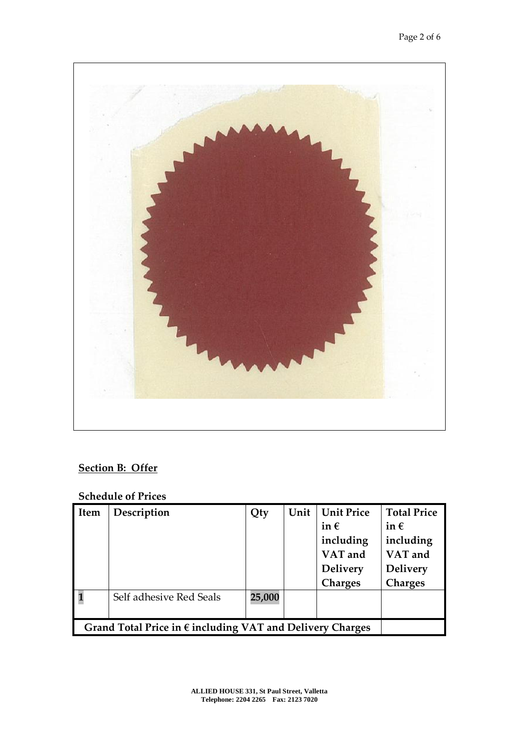

# **Section B: Offer**

## **Schedule of Prices**

| Item                                                               | Description             | Qty    | Unit | <b>Unit Price</b><br>in $\epsilon$<br>including<br>VAT and<br><b>Delivery</b><br><b>Charges</b> | <b>Total Price</b><br>in $\epsilon$<br>including<br>VAT and<br><b>Delivery</b><br><b>Charges</b> |
|--------------------------------------------------------------------|-------------------------|--------|------|-------------------------------------------------------------------------------------------------|--------------------------------------------------------------------------------------------------|
|                                                                    | Self adhesive Red Seals | 25,000 |      |                                                                                                 |                                                                                                  |
| Grand Total Price in $\epsilon$ including VAT and Delivery Charges |                         |        |      |                                                                                                 |                                                                                                  |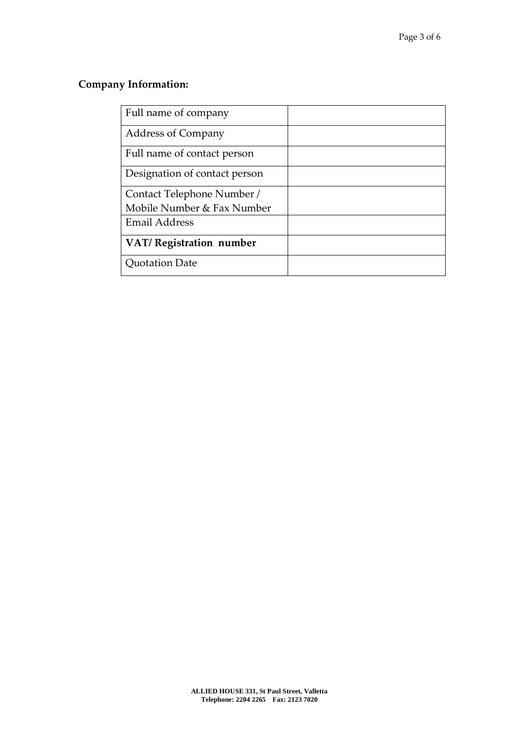# **Company Information:**

| Full name of company          |  |
|-------------------------------|--|
| <b>Address of Company</b>     |  |
| Full name of contact person   |  |
| Designation of contact person |  |
| Contact Telephone Number /    |  |
| Mobile Number & Fax Number    |  |
| <b>Email Address</b>          |  |
| VAT/Registration number       |  |
| <b>Quotation Date</b>         |  |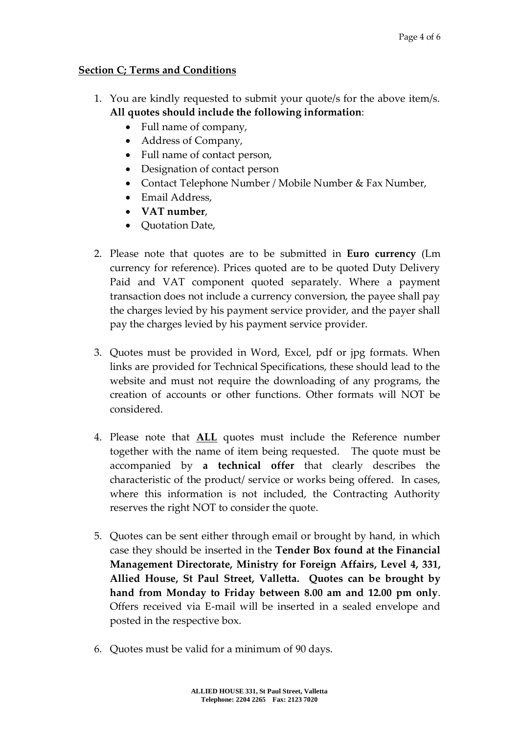#### **Section C; Terms and Conditions**

- 1. You are kindly requested to submit your quote/s for the above item/s. **All quotes should include the following information**:
	- Full name of company,
	- Address of Company,
	- Full name of contact person,
	- Designation of contact person
	- Contact Telephone Number / Mobile Number & Fax Number,
	- Email Address.
	- **VAT number**,
	- Ouotation Date,
- 2. Please note that quotes are to be submitted in **Euro currency** (Lm currency for reference). Prices quoted are to be quoted Duty Delivery Paid and VAT component quoted separately. Where a payment transaction does not include a currency conversion, the payee shall pay the charges levied by his payment service provider, and the payer shall pay the charges levied by his payment service provider.
- 3. Quotes must be provided in Word, Excel, pdf or jpg formats. When links are provided for Technical Specifications, these should lead to the website and must not require the downloading of any programs, the creation of accounts or other functions. Other formats will NOT be considered.
- 4. Please note that **ALL** quotes must include the Reference number together with the name of item being requested. The quote must be accompanied by **a technical offer** that clearly describes the characteristic of the product/ service or works being offered. In cases, where this information is not included, the Contracting Authority reserves the right NOT to consider the quote.
- 5. Quotes can be sent either through email or brought by hand, in which case they should be inserted in the **Tender Box found at the Financial Management Directorate, Ministry for Foreign Affairs, Level 4, 331, Allied House, St Paul Street, Valletta. Quotes can be brought by hand from Monday to Friday between 8.00 am and 12.00 pm only**. Offers received via E-mail will be inserted in a sealed envelope and posted in the respective box.
- 6. Quotes must be valid for a minimum of 90 days.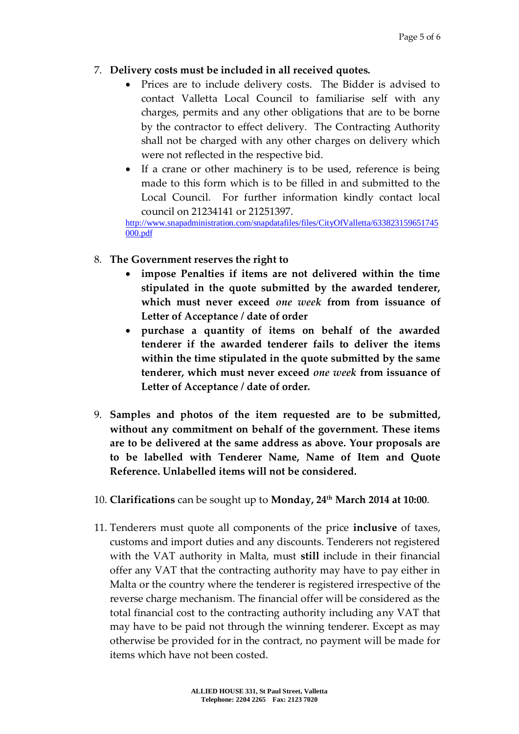### 7. **Delivery costs must be included in all received quotes.**

- Prices are to include delivery costs. The Bidder is advised to contact Valletta Local Council to familiarise self with any charges, permits and any other obligations that are to be borne by the contractor to effect delivery. The Contracting Authority shall not be charged with any other charges on delivery which were not reflected in the respective bid.
- If a crane or other machinery is to be used, reference is being made to this form which is to be filled in and submitted to the Local Council. For further information kindly contact local council on 21234141 or 21251397.

[http://www.snapadministration.com/snapdatafiles/files/CityOfValletta/633823159651745](http://www.snapadministration.com/snapdatafiles/files/CityOfValletta/633823159651745000.pdf) [000.pdf](http://www.snapadministration.com/snapdatafiles/files/CityOfValletta/633823159651745000.pdf)

- 8. **The Government reserves the right to**
	- **impose Penalties if items are not delivered within the time stipulated in the quote submitted by the awarded tenderer, which must never exceed** *one week* **from from issuance of Letter of Acceptance / date of order**
	- **purchase a quantity of items on behalf of the awarded tenderer if the awarded tenderer fails to deliver the items within the time stipulated in the quote submitted by the same tenderer, which must never exceed** *one week* **from issuance of Letter of Acceptance / date of order.**
- 9. **Samples and photos of the item requested are to be submitted, without any commitment on behalf of the government. These items are to be delivered at the same address as above. Your proposals are to be labelled with Tenderer Name, Name of Item and Quote Reference. Unlabelled items will not be considered.**
- 10. **Clarifications** can be sought up to **Monday, 24 th March 2014 at 10:00**.
- 11. Tenderers must quote all components of the price **inclusive** of taxes, customs and import duties and any discounts. Tenderers not registered with the VAT authority in Malta, must **still** include in their financial offer any VAT that the contracting authority may have to pay either in Malta or the country where the tenderer is registered irrespective of the reverse charge mechanism. The financial offer will be considered as the total financial cost to the contracting authority including any VAT that may have to be paid not through the winning tenderer. Except as may otherwise be provided for in the contract, no payment will be made for items which have not been costed.